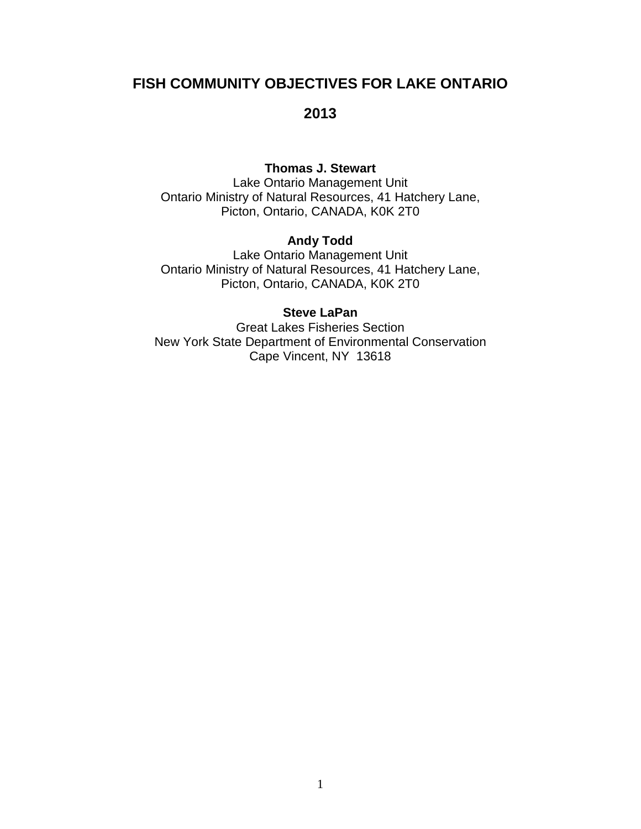## **FISH COMMUNITY OBJECTIVES FOR LAKE ONTARIO**

### **2013**

### **Thomas J. Stewart**

Lake Ontario Management Unit Ontario Ministry of Natural Resources, 41 Hatchery Lane, Picton, Ontario, CANADA, K0K 2T0

### **Andy Todd**

Lake Ontario Management Unit Ontario Ministry of Natural Resources, 41 Hatchery Lane, Picton, Ontario, CANADA, K0K 2T0

#### **Steve LaPan**

Great Lakes Fisheries Section New York State Department of Environmental Conservation Cape Vincent, NY 13618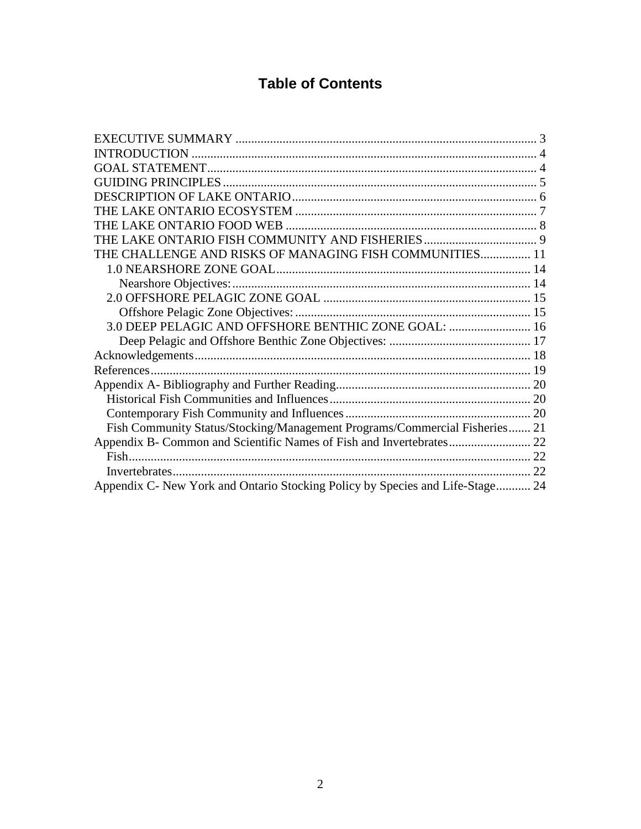# **Table of Contents**

| THE CHALLENGE AND RISKS OF MANAGING FISH COMMUNITIES 11                       |  |
|-------------------------------------------------------------------------------|--|
|                                                                               |  |
|                                                                               |  |
|                                                                               |  |
|                                                                               |  |
| 3.0 DEEP PELAGIC AND OFFSHORE BENTHIC ZONE GOAL:  16                          |  |
|                                                                               |  |
|                                                                               |  |
|                                                                               |  |
|                                                                               |  |
|                                                                               |  |
|                                                                               |  |
| Fish Community Status/Stocking/Management Programs/Commercial Fisheries 21    |  |
|                                                                               |  |
|                                                                               |  |
|                                                                               |  |
| Appendix C- New York and Ontario Stocking Policy by Species and Life-Stage 24 |  |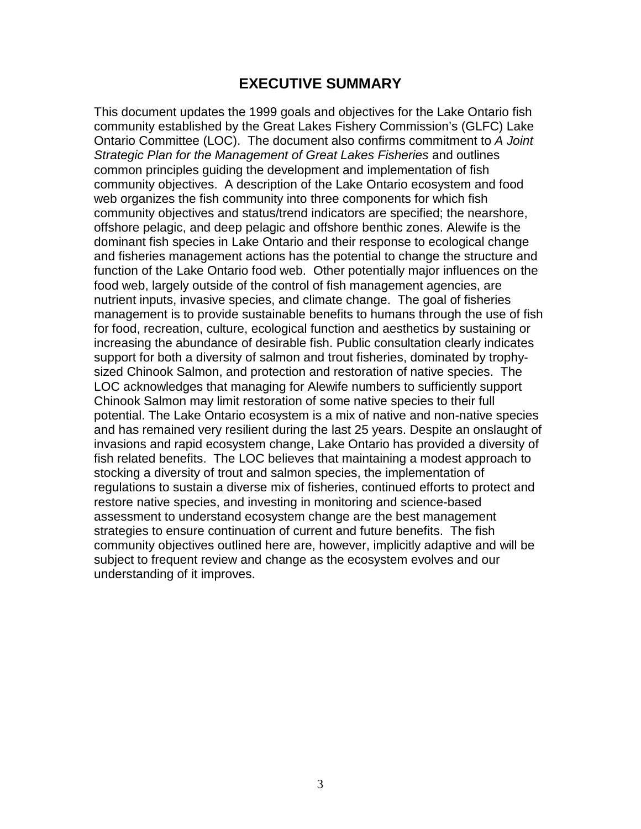## **EXECUTIVE SUMMARY**

<span id="page-2-0"></span>This document updates the 1999 goals and objectives for the Lake Ontario fish community established by the Great Lakes Fishery Commission's (GLFC) Lake Ontario Committee (LOC). The document also confirms commitment to *A Joint Strategic Plan for the Management of Great Lakes Fisheries* and outlines common principles guiding the development and implementation of fish community objectives. A description of the Lake Ontario ecosystem and food web organizes the fish community into three components for which fish community objectives and status/trend indicators are specified; the nearshore, offshore pelagic, and deep pelagic and offshore benthic zones. Alewife is the dominant fish species in Lake Ontario and their response to ecological change and fisheries management actions has the potential to change the structure and function of the Lake Ontario food web. Other potentially major influences on the food web, largely outside of the control of fish management agencies, are nutrient inputs, invasive species, and climate change. The goal of fisheries management is to provide sustainable benefits to humans through the use of fish for food, recreation, culture, ecological function and aesthetics by sustaining or increasing the abundance of desirable fish. Public consultation clearly indicates support for both a diversity of salmon and trout fisheries, dominated by trophysized Chinook Salmon, and protection and restoration of native species. The LOC acknowledges that managing for Alewife numbers to sufficiently support Chinook Salmon may limit restoration of some native species to their full potential. The Lake Ontario ecosystem is a mix of native and non-native species and has remained very resilient during the last 25 years. Despite an onslaught of invasions and rapid ecosystem change, Lake Ontario has provided a diversity of fish related benefits. The LOC believes that maintaining a modest approach to stocking a diversity of trout and salmon species, the implementation of regulations to sustain a diverse mix of fisheries, continued efforts to protect and restore native species, and investing in monitoring and science-based assessment to understand ecosystem change are the best management strategies to ensure continuation of current and future benefits. The fish community objectives outlined here are, however, implicitly adaptive and will be subject to frequent review and change as the ecosystem evolves and our understanding of it improves.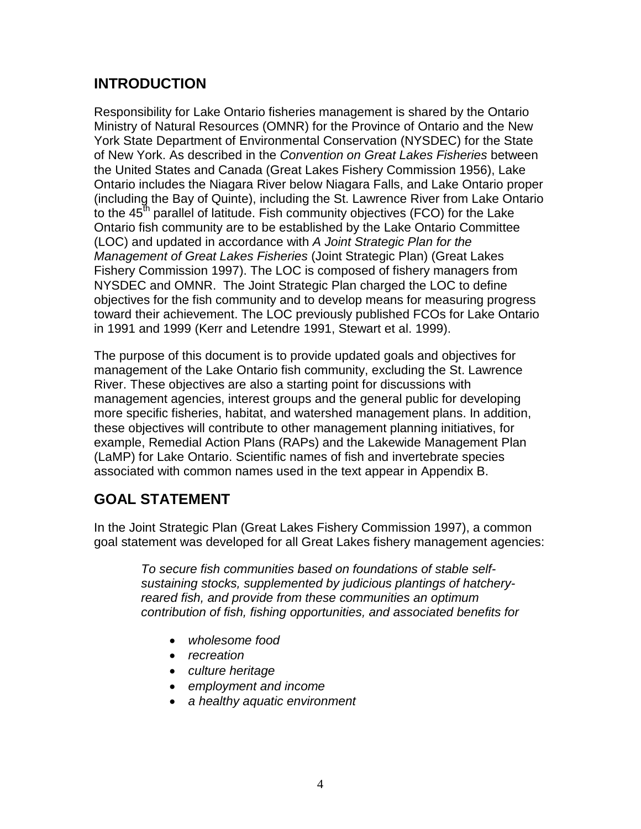## <span id="page-3-0"></span>**INTRODUCTION**

Responsibility for Lake Ontario fisheries management is shared by the Ontario Ministry of Natural Resources (OMNR) for the Province of Ontario and the New York State Department of Environmental Conservation (NYSDEC) for the State of New York. As described in the *Convention on Great Lakes Fisheries* between the United States and Canada (Great Lakes Fishery Commission 1956), Lake Ontario includes the Niagara River below Niagara Falls, and Lake Ontario proper (including the Bay of Quinte), including the St. Lawrence River from Lake Ontario to the  $45<sup>th</sup>$  parallel of latitude. Fish community objectives (FCO) for the Lake Ontario fish community are to be established by the Lake Ontario Committee (LOC) and updated in accordance with *A Joint Strategic Plan for the Management of Great Lakes Fisheries* (Joint Strategic Plan) (Great Lakes Fishery Commission 1997). The LOC is composed of fishery managers from NYSDEC and OMNR. The Joint Strategic Plan charged the LOC to define objectives for the fish community and to develop means for measuring progress toward their achievement. The LOC previously published FCOs for Lake Ontario in 1991 and 1999 (Kerr and Letendre 1991, Stewart et al. 1999).

The purpose of this document is to provide updated goals and objectives for management of the Lake Ontario fish community, excluding the St. Lawrence River. These objectives are also a starting point for discussions with management agencies, interest groups and the general public for developing more specific fisheries, habitat, and watershed management plans. In addition, these objectives will contribute to other management planning initiatives, for example, Remedial Action Plans (RAPs) and the Lakewide Management Plan (LaMP) for Lake Ontario. Scientific names of fish and invertebrate species associated with common names used in the text appear in Appendix B.

# <span id="page-3-1"></span>**GOAL STATEMENT**

In the Joint Strategic Plan (Great Lakes Fishery Commission 1997), a common goal statement was developed for all Great Lakes fishery management agencies:

*To secure fish communities based on foundations of stable selfsustaining stocks, supplemented by judicious plantings of hatcheryreared fish, and provide from these communities an optimum contribution of fish, fishing opportunities, and associated benefits for*

- *wholesome food*
- *recreation*
- *culture heritage*
- *employment and income*
- *a healthy aquatic environment*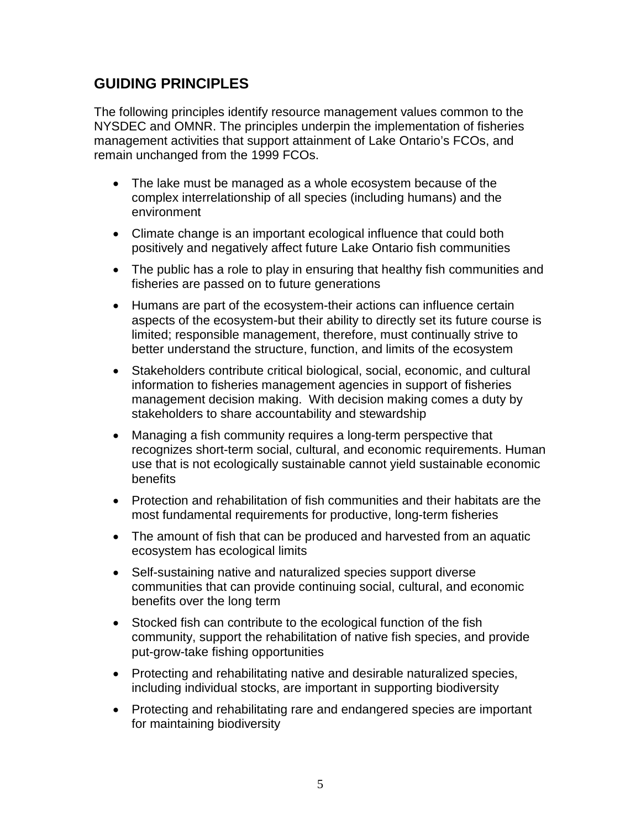## <span id="page-4-0"></span>**GUIDING PRINCIPLES**

The following principles identify resource management values common to the NYSDEC and OMNR. The principles underpin the implementation of fisheries management activities that support attainment of Lake Ontario's FCOs, and remain unchanged from the 1999 FCOs.

- The lake must be managed as a whole ecosystem because of the complex interrelationship of all species (including humans) and the environment
- Climate change is an important ecological influence that could both positively and negatively affect future Lake Ontario fish communities
- The public has a role to play in ensuring that healthy fish communities and fisheries are passed on to future generations
- Humans are part of the ecosystem-their actions can influence certain aspects of the ecosystem-but their ability to directly set its future course is limited; responsible management, therefore, must continually strive to better understand the structure, function, and limits of the ecosystem
- Stakeholders contribute critical biological, social, economic, and cultural information to fisheries management agencies in support of fisheries management decision making. With decision making comes a duty by stakeholders to share accountability and stewardship
- Managing a fish community requires a long-term perspective that recognizes short-term social, cultural, and economic requirements. Human use that is not ecologically sustainable cannot yield sustainable economic **benefits**
- Protection and rehabilitation of fish communities and their habitats are the most fundamental requirements for productive, long-term fisheries
- The amount of fish that can be produced and harvested from an aquatic ecosystem has ecological limits
- Self-sustaining native and naturalized species support diverse communities that can provide continuing social, cultural, and economic benefits over the long term
- Stocked fish can contribute to the ecological function of the fish community, support the rehabilitation of native fish species, and provide put-grow-take fishing opportunities
- Protecting and rehabilitating native and desirable naturalized species, including individual stocks, are important in supporting biodiversity
- Protecting and rehabilitating rare and endangered species are important for maintaining biodiversity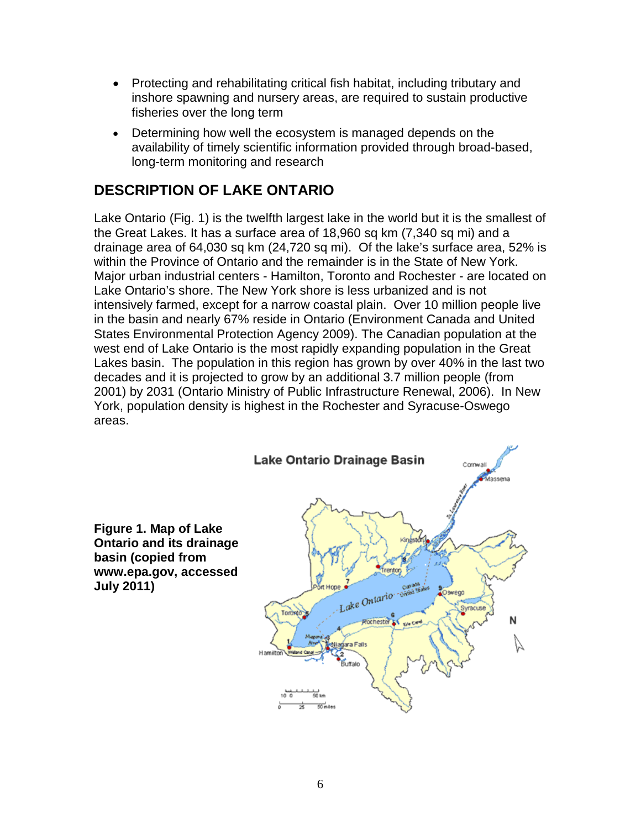- Protecting and rehabilitating critical fish habitat, including tributary and inshore spawning and nursery areas, are required to sustain productive fisheries over the long term
- Determining how well the ecosystem is managed depends on the availability of timely scientific information provided through broad-based, long-term monitoring and research

## <span id="page-5-0"></span>**DESCRIPTION OF LAKE ONTARIO**

Lake Ontario (Fig. 1) is the twelfth largest lake in the world but it is the smallest of the Great Lakes. It has a surface area of 18,960 sq km (7,340 sq mi) and a drainage area of 64,030 sq km (24,720 sq mi). Of the lake's surface area, 52% is within the Province of Ontario and the remainder is in the State of New York. Major urban industrial centers - Hamilton, Toronto and Rochester - are located on Lake Ontario's shore. The New York shore is less urbanized and is not intensively farmed, except for a narrow coastal plain. Over 10 million people live in the basin and nearly 67% reside in Ontario (Environment Canada and United States Environmental Protection Agency 2009). The Canadian population at the west end of Lake Ontario is the most rapidly expanding population in the Great Lakes basin. The population in this region has grown by over 40% in the last two decades and it is projected to grow by an additional 3.7 million people (from 2001) by 2031 (Ontario Ministry of Public Infrastructure Renewal, 2006). In New York, population density is highest in the Rochester and Syracuse-Oswego areas.

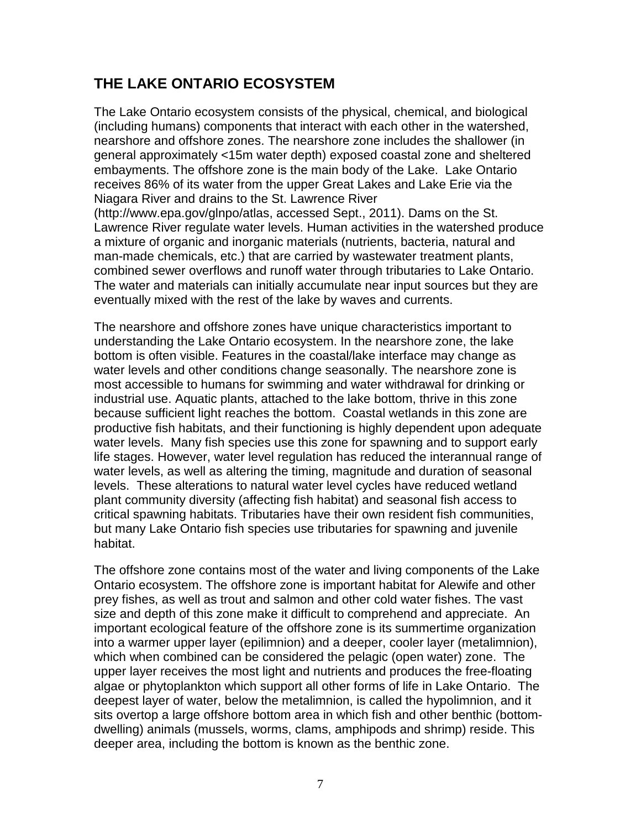# <span id="page-6-0"></span>**THE LAKE ONTARIO ECOSYSTEM**

The Lake Ontario ecosystem consists of the physical, chemical, and biological (including humans) components that interact with each other in the watershed, nearshore and offshore zones. The nearshore zone includes the shallower (in general approximately <15m water depth) exposed coastal zone and sheltered embayments. The offshore zone is the main body of the Lake. Lake Ontario receives 86% of its water from the upper Great Lakes and Lake Erie via the Niagara River and drains to the St. Lawrence River [\(http://www.epa.gov/glnpo/atlas,](http://www.epa.gov/glnpo/atlas) accessed Sept., 2011). Dams on the St. Lawrence River regulate water levels. Human activities in the watershed produce a mixture of organic and inorganic materials (nutrients, bacteria, natural and man-made chemicals, etc.) that are carried by wastewater treatment plants, combined sewer overflows and runoff water through tributaries to Lake Ontario. The water and materials can initially accumulate near input sources but they are eventually mixed with the rest of the lake by waves and currents.

The nearshore and offshore zones have unique characteristics important to understanding the Lake Ontario ecosystem. In the nearshore zone, the lake bottom is often visible. Features in the coastal/lake interface may change as water levels and other conditions change seasonally. The nearshore zone is most accessible to humans for swimming and water withdrawal for drinking or industrial use. Aquatic plants, attached to the lake bottom, thrive in this zone because sufficient light reaches the bottom. Coastal wetlands in this zone are productive fish habitats, and their functioning is highly dependent upon adequate water levels. Many fish species use this zone for spawning and to support early life stages. However, water level regulation has reduced the interannual range of water levels, as well as altering the timing, magnitude and duration of seasonal levels. These alterations to natural water level cycles have reduced wetland plant community diversity (affecting fish habitat) and seasonal fish access to critical spawning habitats. Tributaries have their own resident fish communities, but many Lake Ontario fish species use tributaries for spawning and juvenile habitat.

The offshore zone contains most of the water and living components of the Lake Ontario ecosystem. The offshore zone is important habitat for Alewife and other prey fishes, as well as trout and salmon and other cold water fishes. The vast size and depth of this zone make it difficult to comprehend and appreciate. An important ecological feature of the offshore zone is its summertime organization into a warmer upper layer (epilimnion) and a deeper, cooler layer (metalimnion), which when combined can be considered the pelagic (open water) zone. The upper layer receives the most light and nutrients and produces the free-floating algae or phytoplankton which support all other forms of life in Lake Ontario. The deepest layer of water, below the metalimnion, is called the hypolimnion, and it sits overtop a large offshore bottom area in which fish and other benthic (bottomdwelling) animals (mussels, worms, clams, amphipods and shrimp) reside. This deeper area, including the bottom is known as the benthic zone.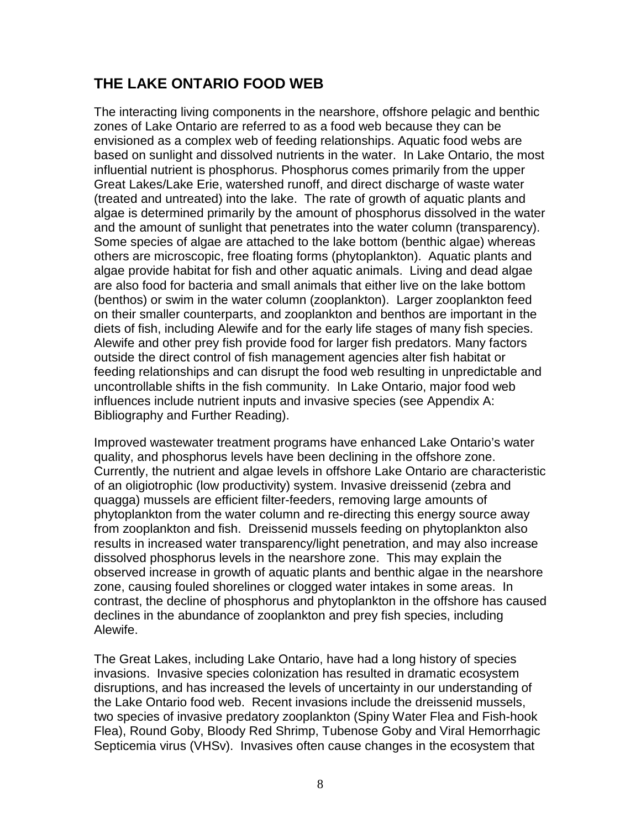# <span id="page-7-0"></span>**THE LAKE ONTARIO FOOD WEB**

The interacting living components in the nearshore, offshore pelagic and benthic zones of Lake Ontario are referred to as a food web because they can be envisioned as a complex web of feeding relationships. Aquatic food webs are based on sunlight and dissolved nutrients in the water. In Lake Ontario, the most influential nutrient is phosphorus. Phosphorus comes primarily from the upper Great Lakes/Lake Erie, watershed runoff, and direct discharge of waste water (treated and untreated) into the lake. The rate of growth of aquatic plants and algae is determined primarily by the amount of phosphorus dissolved in the water and the amount of sunlight that penetrates into the water column (transparency). Some species of algae are attached to the lake bottom (benthic algae) whereas others are microscopic, free floating forms (phytoplankton). Aquatic plants and algae provide habitat for fish and other aquatic animals. Living and dead algae are also food for bacteria and small animals that either live on the lake bottom (benthos) or swim in the water column (zooplankton). Larger zooplankton feed on their smaller counterparts, and zooplankton and benthos are important in the diets of fish, including Alewife and for the early life stages of many fish species. Alewife and other prey fish provide food for larger fish predators. Many factors outside the direct control of fish management agencies alter fish habitat or feeding relationships and can disrupt the food web resulting in unpredictable and uncontrollable shifts in the fish community. In Lake Ontario, major food web influences include nutrient inputs and invasive species (see Appendix A: Bibliography and Further Reading).

Improved wastewater treatment programs have enhanced Lake Ontario's water quality, and phosphorus levels have been declining in the offshore zone. Currently, the nutrient and algae levels in offshore Lake Ontario are characteristic of an oligiotrophic (low productivity) system. Invasive dreissenid (zebra and quagga) mussels are efficient filter-feeders, removing large amounts of phytoplankton from the water column and re-directing this energy source away from zooplankton and fish. Dreissenid mussels feeding on phytoplankton also results in increased water transparency/light penetration, and may also increase dissolved phosphorus levels in the nearshore zone. This may explain the observed increase in growth of aquatic plants and benthic algae in the nearshore zone, causing fouled shorelines or clogged water intakes in some areas. In contrast, the decline of phosphorus and phytoplankton in the offshore has caused declines in the abundance of zooplankton and prey fish species, including Alewife.

The Great Lakes, including Lake Ontario, have had a long history of species invasions. Invasive species colonization has resulted in dramatic ecosystem disruptions, and has increased the levels of uncertainty in our understanding of the Lake Ontario food web. Recent invasions include the dreissenid mussels, two species of invasive predatory zooplankton (Spiny Water Flea and Fish-hook Flea), Round Goby, Bloody Red Shrimp, Tubenose Goby and Viral Hemorrhagic Septicemia virus (VHSv). Invasives often cause changes in the ecosystem that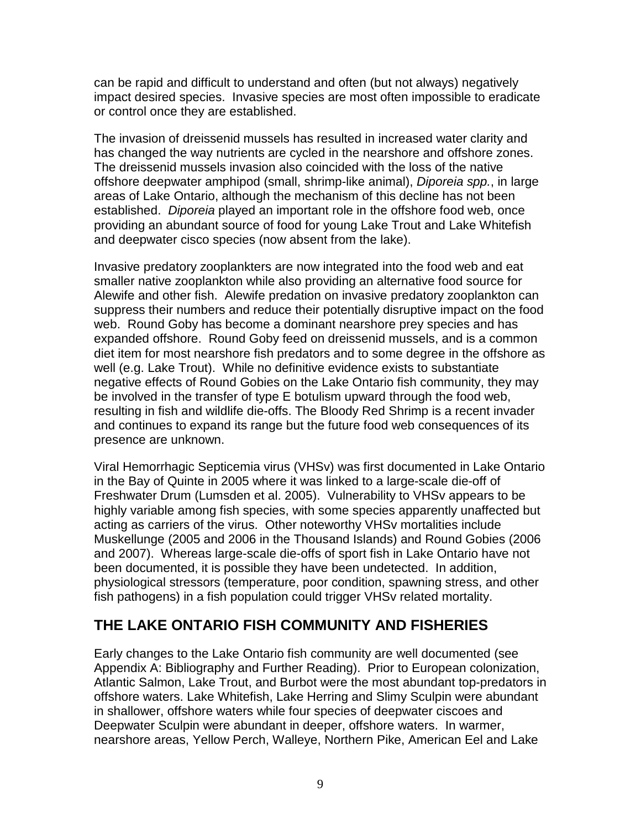can be rapid and difficult to understand and often (but not always) negatively impact desired species. Invasive species are most often impossible to eradicate or control once they are established.

The invasion of dreissenid mussels has resulted in increased water clarity and has changed the way nutrients are cycled in the nearshore and offshore zones. The dreissenid mussels invasion also coincided with the loss of the native offshore deepwater amphipod (small, shrimp-like animal), *Diporeia spp.*, in large areas of Lake Ontario, although the mechanism of this decline has not been established. *Diporeia* played an important role in the offshore food web, once providing an abundant source of food for young Lake Trout and Lake Whitefish and deepwater cisco species (now absent from the lake).

Invasive predatory zooplankters are now integrated into the food web and eat smaller native zooplankton while also providing an alternative food source for Alewife and other fish. Alewife predation on invasive predatory zooplankton can suppress their numbers and reduce their potentially disruptive impact on the food web. Round Goby has become a dominant nearshore prey species and has expanded offshore. Round Goby feed on dreissenid mussels, and is a common diet item for most nearshore fish predators and to some degree in the offshore as well (e.g. Lake Trout). While no definitive evidence exists to substantiate negative effects of Round Gobies on the Lake Ontario fish community, they may be involved in the transfer of type E botulism upward through the food web, resulting in fish and wildlife die-offs. The Bloody Red Shrimp is a recent invader and continues to expand its range but the future food web consequences of its presence are unknown.

Viral Hemorrhagic Septicemia virus (VHSv) was first documented in Lake Ontario in the Bay of Quinte in 2005 where it was linked to a large-scale die-off of Freshwater Drum (Lumsden et al. 2005). Vulnerability to VHSv appears to be highly variable among fish species, with some species apparently unaffected but acting as carriers of the virus. Other noteworthy VHSv mortalities include Muskellunge (2005 and 2006 in the Thousand Islands) and Round Gobies (2006 and 2007). Whereas large-scale die-offs of sport fish in Lake Ontario have not been documented, it is possible they have been undetected. In addition, physiological stressors (temperature, poor condition, spawning stress, and other fish pathogens) in a fish population could trigger VHSv related mortality.

# <span id="page-8-0"></span>**THE LAKE ONTARIO FISH COMMUNITY AND FISHERIES**

Early changes to the Lake Ontario fish community are well documented (see Appendix A: Bibliography and Further Reading). Prior to European colonization, Atlantic Salmon, Lake Trout, and Burbot were the most abundant top-predators in offshore waters. Lake Whitefish, Lake Herring and Slimy Sculpin were abundant in shallower, offshore waters while four species of deepwater ciscoes and Deepwater Sculpin were abundant in deeper, offshore waters. In warmer, nearshore areas, Yellow Perch, Walleye, Northern Pike, American Eel and Lake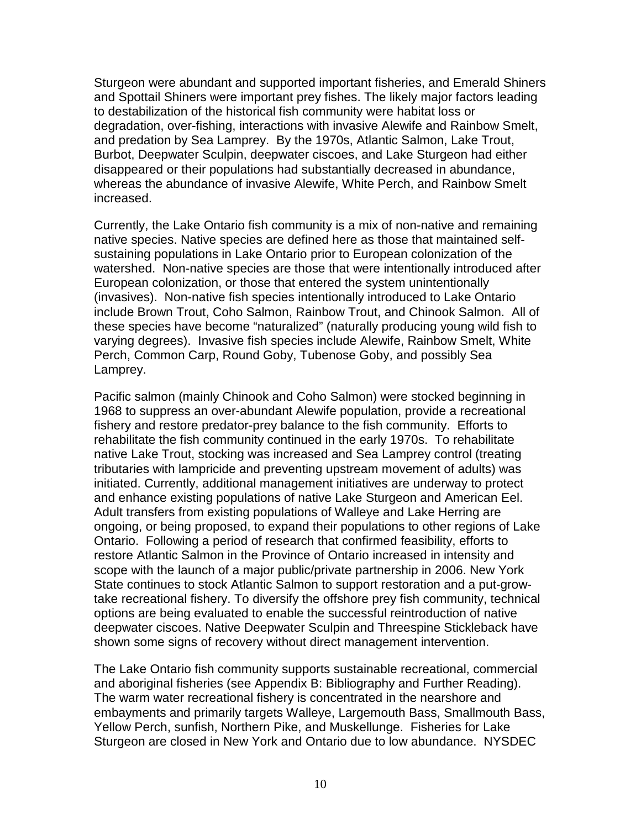Sturgeon were abundant and supported important fisheries, and Emerald Shiners and Spottail Shiners were important prey fishes. The likely major factors leading to destabilization of the historical fish community were habitat loss or degradation, over-fishing, interactions with invasive Alewife and Rainbow Smelt, and predation by Sea Lamprey. By the 1970s, Atlantic Salmon, Lake Trout, Burbot, Deepwater Sculpin, deepwater ciscoes, and Lake Sturgeon had either disappeared or their populations had substantially decreased in abundance, whereas the abundance of invasive Alewife, White Perch, and Rainbow Smelt increased.

Currently, the Lake Ontario fish community is a mix of non-native and remaining native species. Native species are defined here as those that maintained selfsustaining populations in Lake Ontario prior to European colonization of the watershed. Non-native species are those that were intentionally introduced after European colonization, or those that entered the system unintentionally (invasives). Non-native fish species intentionally introduced to Lake Ontario include Brown Trout, Coho Salmon, Rainbow Trout, and Chinook Salmon. All of these species have become "naturalized" (naturally producing young wild fish to varying degrees). Invasive fish species include Alewife, Rainbow Smelt, White Perch, Common Carp, Round Goby, Tubenose Goby, and possibly Sea Lamprey.

Pacific salmon (mainly Chinook and Coho Salmon) were stocked beginning in 1968 to suppress an over-abundant Alewife population, provide a recreational fishery and restore predator-prey balance to the fish community. Efforts to rehabilitate the fish community continued in the early 1970s. To rehabilitate native Lake Trout, stocking was increased and Sea Lamprey control (treating tributaries with lampricide and preventing upstream movement of adults) was initiated. Currently, additional management initiatives are underway to protect and enhance existing populations of native Lake Sturgeon and American Eel. Adult transfers from existing populations of Walleye and Lake Herring are ongoing, or being proposed, to expand their populations to other regions of Lake Ontario. Following a period of research that confirmed feasibility, efforts to restore Atlantic Salmon in the Province of Ontario increased in intensity and scope with the launch of a major public/private partnership in 2006. New York State continues to stock Atlantic Salmon to support restoration and a put-growtake recreational fishery. To diversify the offshore prey fish community, technical options are being evaluated to enable the successful reintroduction of native deepwater ciscoes. Native Deepwater Sculpin and Threespine Stickleback have shown some signs of recovery without direct management intervention.

The Lake Ontario fish community supports sustainable recreational, commercial and aboriginal fisheries (see Appendix B: Bibliography and Further Reading). The warm water recreational fishery is concentrated in the nearshore and embayments and primarily targets Walleye, Largemouth Bass, Smallmouth Bass, Yellow Perch, sunfish, Northern Pike, and Muskellunge. Fisheries for Lake Sturgeon are closed in New York and Ontario due to low abundance. NYSDEC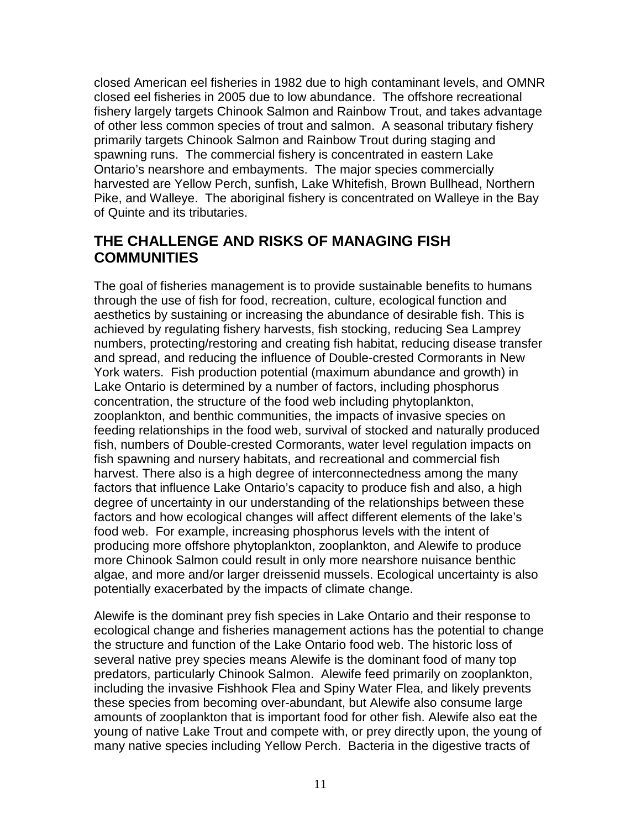closed American eel fisheries in 1982 due to high contaminant levels, and OMNR closed eel fisheries in 2005 due to low abundance. The offshore recreational fishery largely targets Chinook Salmon and Rainbow Trout, and takes advantage of other less common species of trout and salmon. A seasonal tributary fishery primarily targets Chinook Salmon and Rainbow Trout during staging and spawning runs. The commercial fishery is concentrated in eastern Lake Ontario's nearshore and embayments. The major species commercially harvested are Yellow Perch, sunfish, Lake Whitefish, Brown Bullhead, Northern Pike, and Walleye. The aboriginal fishery is concentrated on Walleye in the Bay of Quinte and its tributaries.

## <span id="page-10-0"></span>**THE CHALLENGE AND RISKS OF MANAGING FISH COMMUNITIES**

The goal of fisheries management is to provide sustainable benefits to humans through the use of fish for food, recreation, culture, ecological function and aesthetics by sustaining or increasing the abundance of desirable fish. This is achieved by regulating fishery harvests, fish stocking, reducing Sea Lamprey numbers, protecting/restoring and creating fish habitat, reducing disease transfer and spread, and reducing the influence of Double-crested Cormorants in New York waters. Fish production potential (maximum abundance and growth) in Lake Ontario is determined by a number of factors, including phosphorus concentration, the structure of the food web including phytoplankton, zooplankton, and benthic communities, the impacts of invasive species on feeding relationships in the food web, survival of stocked and naturally produced fish, numbers of Double-crested Cormorants, water level regulation impacts on fish spawning and nursery habitats, and recreational and commercial fish harvest. There also is a high degree of interconnectedness among the many factors that influence Lake Ontario's capacity to produce fish and also, a high degree of uncertainty in our understanding of the relationships between these factors and how ecological changes will affect different elements of the lake's food web. For example, increasing phosphorus levels with the intent of producing more offshore phytoplankton, zooplankton, and Alewife to produce more Chinook Salmon could result in only more nearshore nuisance benthic algae, and more and/or larger dreissenid mussels. Ecological uncertainty is also potentially exacerbated by the impacts of climate change.

Alewife is the dominant prey fish species in Lake Ontario and their response to ecological change and fisheries management actions has the potential to change the structure and function of the Lake Ontario food web. The historic loss of several native prey species means Alewife is the dominant food of many top predators, particularly Chinook Salmon. Alewife feed primarily on zooplankton, including the invasive Fishhook Flea and Spiny Water Flea, and likely prevents these species from becoming over-abundant, but Alewife also consume large amounts of zooplankton that is important food for other fish. Alewife also eat the young of native Lake Trout and compete with, or prey directly upon, the young of many native species including Yellow Perch. Bacteria in the digestive tracts of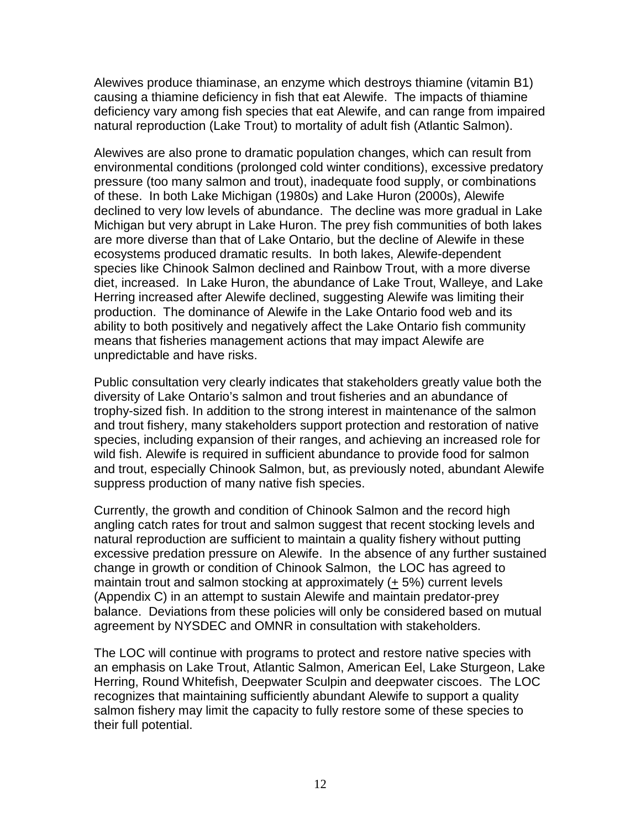Alewives produce thiaminase, an enzyme which destroys thiamine (vitamin B1) causing a thiamine deficiency in fish that eat Alewife. The impacts of thiamine deficiency vary among fish species that eat Alewife, and can range from impaired natural reproduction (Lake Trout) to mortality of adult fish (Atlantic Salmon).

Alewives are also prone to dramatic population changes, which can result from environmental conditions (prolonged cold winter conditions), excessive predatory pressure (too many salmon and trout), inadequate food supply, or combinations of these. In both Lake Michigan (1980s) and Lake Huron (2000s), Alewife declined to very low levels of abundance. The decline was more gradual in Lake Michigan but very abrupt in Lake Huron. The prey fish communities of both lakes are more diverse than that of Lake Ontario, but the decline of Alewife in these ecosystems produced dramatic results. In both lakes, Alewife-dependent species like Chinook Salmon declined and Rainbow Trout, with a more diverse diet, increased. In Lake Huron, the abundance of Lake Trout, Walleye, and Lake Herring increased after Alewife declined, suggesting Alewife was limiting their production. The dominance of Alewife in the Lake Ontario food web and its ability to both positively and negatively affect the Lake Ontario fish community means that fisheries management actions that may impact Alewife are unpredictable and have risks.

Public consultation very clearly indicates that stakeholders greatly value both the diversity of Lake Ontario's salmon and trout fisheries and an abundance of trophy-sized fish. In addition to the strong interest in maintenance of the salmon and trout fishery, many stakeholders support protection and restoration of native species, including expansion of their ranges, and achieving an increased role for wild fish. Alewife is required in sufficient abundance to provide food for salmon and trout, especially Chinook Salmon, but, as previously noted, abundant Alewife suppress production of many native fish species.

Currently, the growth and condition of Chinook Salmon and the record high angling catch rates for trout and salmon suggest that recent stocking levels and natural reproduction are sufficient to maintain a quality fishery without putting excessive predation pressure on Alewife. In the absence of any further sustained change in growth or condition of Chinook Salmon, the LOC has agreed to maintain trout and salmon stocking at approximately (+ 5%) current levels (Appendix C) in an attempt to sustain Alewife and maintain predator-prey balance. Deviations from these policies will only be considered based on mutual agreement by NYSDEC and OMNR in consultation with stakeholders.

The LOC will continue with programs to protect and restore native species with an emphasis on Lake Trout, Atlantic Salmon, American Eel, Lake Sturgeon, Lake Herring, Round Whitefish, Deepwater Sculpin and deepwater ciscoes. The LOC recognizes that maintaining sufficiently abundant Alewife to support a quality salmon fishery may limit the capacity to fully restore some of these species to their full potential.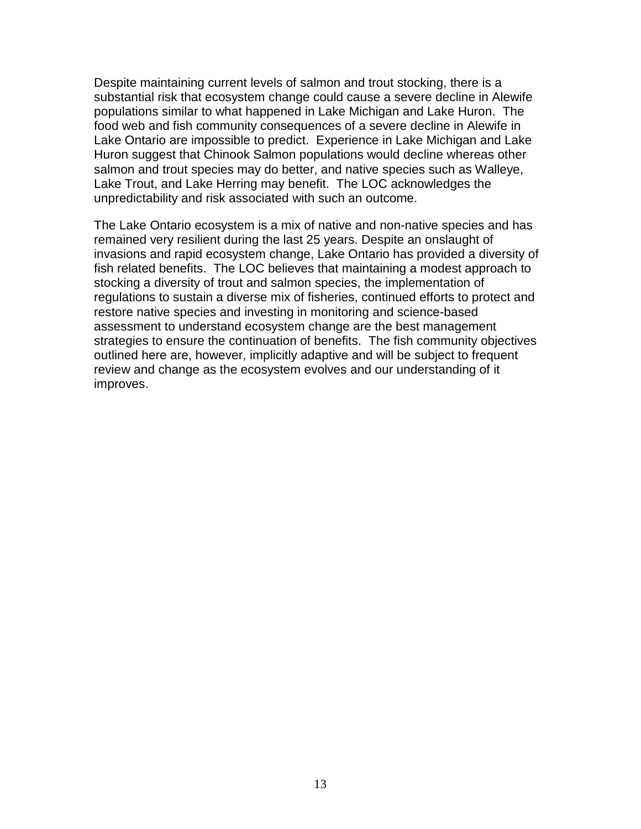Despite maintaining current levels of salmon and trout stocking, there is a substantial risk that ecosystem change could cause a severe decline in Alewife populations similar to what happened in Lake Michigan and Lake Huron. The food web and fish community consequences of a severe decline in Alewife in Lake Ontario are impossible to predict. Experience in Lake Michigan and Lake Huron suggest that Chinook Salmon populations would decline whereas other salmon and trout species may do better, and native species such as Walleye, Lake Trout, and Lake Herring may benefit. The LOC acknowledges the unpredictability and risk associated with such an outcome.

The Lake Ontario ecosystem is a mix of native and non-native species and has remained very resilient during the last 25 years. Despite an onslaught of invasions and rapid ecosystem change, Lake Ontario has provided a diversity of fish related benefits. The LOC believes that maintaining a modest approach to stocking a diversity of trout and salmon species, the implementation of regulations to sustain a diverse mix of fisheries, continued efforts to protect and restore native species and investing in monitoring and science-based assessment to understand ecosystem change are the best management strategies to ensure the continuation of benefits. The fish community objectives outlined here are, however, implicitly adaptive and will be subject to frequent review and change as the ecosystem evolves and our understanding of it improves.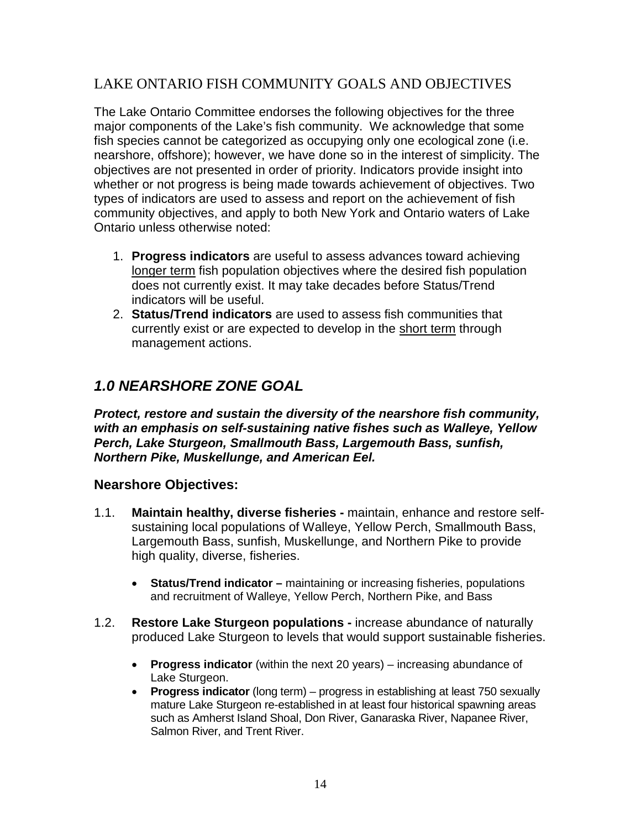## LAKE ONTARIO FISH COMMUNITY GOALS AND OBJECTIVES

The Lake Ontario Committee endorses the following objectives for the three major components of the Lake's fish community. We acknowledge that some fish species cannot be categorized as occupying only one ecological zone (i.e. nearshore, offshore); however, we have done so in the interest of simplicity. The objectives are not presented in order of priority. Indicators provide insight into whether or not progress is being made towards achievement of objectives. Two types of indicators are used to assess and report on the achievement of fish community objectives, and apply to both New York and Ontario waters of Lake Ontario unless otherwise noted:

- 1. **Progress indicators** are useful to assess advances toward achieving longer term fish population objectives where the desired fish population does not currently exist. It may take decades before Status/Trend indicators will be useful.
- 2. **Status/Trend indicators** are used to assess fish communities that currently exist or are expected to develop in the short term through management actions.

## <span id="page-13-0"></span>*1.0 NEARSHORE ZONE GOAL*

*Protect, restore and sustain the diversity of the nearshore fish community, with an emphasis on self-sustaining native fishes such as Walleye, Yellow Perch, Lake Sturgeon, Smallmouth Bass, Largemouth Bass, sunfish, Northern Pike, Muskellunge, and American Eel.*

### <span id="page-13-1"></span>**Nearshore Objectives:**

- 1.1. **Maintain healthy, diverse fisheries -** maintain, enhance and restore selfsustaining local populations of Walleye, Yellow Perch, Smallmouth Bass, Largemouth Bass, sunfish, Muskellunge, and Northern Pike to provide high quality, diverse, fisheries.
	- **Status/Trend indicator –** maintaining or increasing fisheries, populations and recruitment of Walleye, Yellow Perch, Northern Pike, and Bass
- 1.2. **Restore Lake Sturgeon populations -** increase abundance of naturally produced Lake Sturgeon to levels that would support sustainable fisheries.
	- **Progress indicator** (within the next 20 years) increasing abundance of Lake Sturgeon.
	- **Progress indicator** (long term) progress in establishing at least 750 sexually mature Lake Sturgeon re-established in at least four historical spawning areas such as Amherst Island Shoal, Don River, Ganaraska River, Napanee River, Salmon River, and Trent River.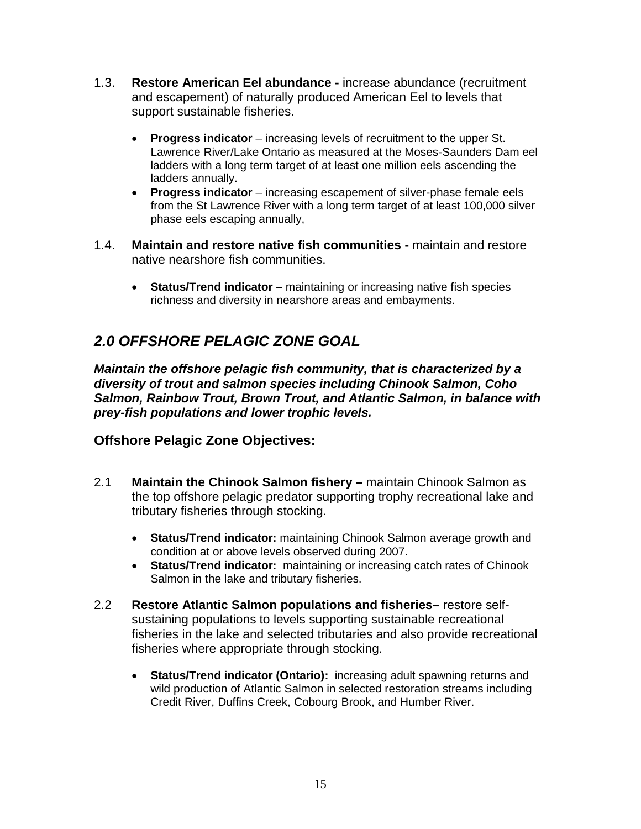- 1.3. **Restore American Eel abundance -** increase abundance (recruitment and escapement) of naturally produced American Eel to levels that support sustainable fisheries.
	- **Progress indicator**  increasing levels of recruitment to the upper St. Lawrence River/Lake Ontario as measured at the Moses-Saunders Dam eel ladders with a long term target of at least one million eels ascending the ladders annually.
	- **Progress indicator** increasing escapement of silver-phase female eels from the St Lawrence River with a long term target of at least 100,000 silver phase eels escaping annually,
- 1.4. **Maintain and restore native fish communities -** maintain and restore native nearshore fish communities.
	- **Status/Trend indicator** maintaining or increasing native fish species richness and diversity in nearshore areas and embayments.

# <span id="page-14-0"></span>*2.0 OFFSHORE PELAGIC ZONE GOAL*

*Maintain the offshore pelagic fish community, that is characterized by a diversity of trout and salmon species including Chinook Salmon, Coho Salmon, Rainbow Trout, Brown Trout, and Atlantic Salmon, in balance with prey-fish populations and lower trophic levels.*

## <span id="page-14-1"></span>**Offshore Pelagic Zone Objectives:**

- 2.1 **Maintain the Chinook Salmon fishery –** maintain Chinook Salmon as the top offshore pelagic predator supporting trophy recreational lake and tributary fisheries through stocking.
	- **Status/Trend indicator:** maintaining Chinook Salmon average growth and condition at or above levels observed during 2007.
	- **Status/Trend indicator:** maintaining or increasing catch rates of Chinook Salmon in the lake and tributary fisheries.
- 2.2 **Restore Atlantic Salmon populations and fisheries–** restore selfsustaining populations to levels supporting sustainable recreational fisheries in the lake and selected tributaries and also provide recreational fisheries where appropriate through stocking.
	- **Status/Trend indicator (Ontario):** increasing adult spawning returns and wild production of Atlantic Salmon in selected restoration streams including Credit River, Duffins Creek, Cobourg Brook, and Humber River.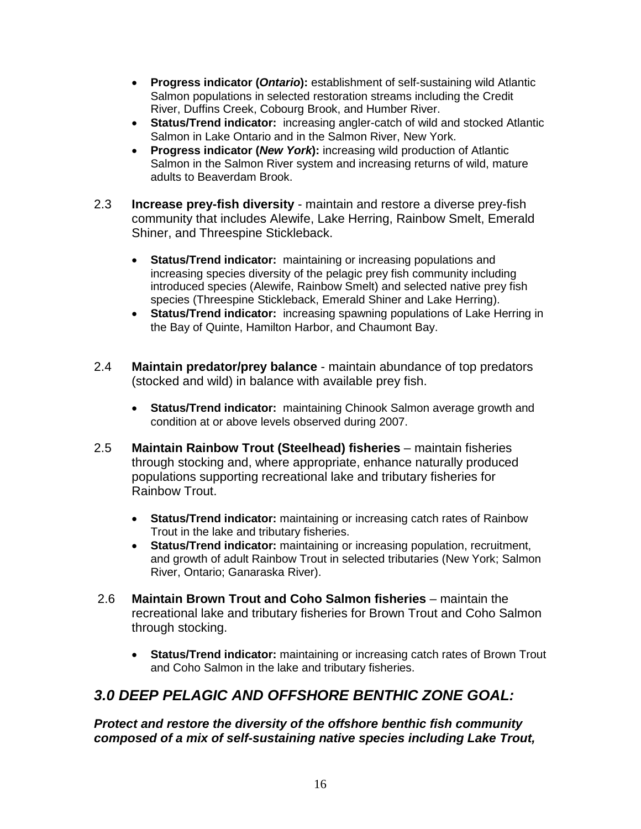- **Progress indicator (***Ontario***):** establishment of self-sustaining wild Atlantic Salmon populations in selected restoration streams including the Credit River, Duffins Creek, Cobourg Brook, and Humber River.
- **Status/Trend indicator:** increasing angler-catch of wild and stocked Atlantic Salmon in Lake Ontario and in the Salmon River, New York.
- **Progress indicator (***New York***):** increasing wild production of Atlantic Salmon in the Salmon River system and increasing returns of wild, mature adults to Beaverdam Brook.
- 2.3 **Increase prey-fish diversity**  maintain and restore a diverse prey-fish community that includes Alewife, Lake Herring, Rainbow Smelt, Emerald Shiner, and Threespine Stickleback.
	- **Status/Trend indicator:** maintaining or increasing populations and increasing species diversity of the pelagic prey fish community including introduced species (Alewife, Rainbow Smelt) and selected native prey fish species (Threespine Stickleback, Emerald Shiner and Lake Herring).
	- **Status/Trend indicator:** increasing spawning populations of Lake Herring in the Bay of Quinte, Hamilton Harbor, and Chaumont Bay.
- 2.4 **Maintain predator/prey balance**  maintain abundance of top predators (stocked and wild) in balance with available prey fish.
	- **Status/Trend indicator:** maintaining Chinook Salmon average growth and condition at or above levels observed during 2007.
- 2.5 **Maintain Rainbow Trout (Steelhead) fisheries**  maintain fisheries through stocking and, where appropriate, enhance naturally produced populations supporting recreational lake and tributary fisheries for Rainbow Trout.
	- **Status/Trend indicator:** maintaining or increasing catch rates of Rainbow Trout in the lake and tributary fisheries.
	- **Status/Trend indicator:** maintaining or increasing population, recruitment, and growth of adult Rainbow Trout in selected tributaries (New York; Salmon River, Ontario; Ganaraska River).
- 2.6 **Maintain Brown Trout and Coho Salmon fisheries** maintain the recreational lake and tributary fisheries for Brown Trout and Coho Salmon through stocking.
	- **Status/Trend indicator:** maintaining or increasing catch rates of Brown Trout and Coho Salmon in the lake and tributary fisheries.

# <span id="page-15-0"></span>*3.0 DEEP PELAGIC AND OFFSHORE BENTHIC ZONE GOAL:*

*Protect and restore the diversity of the offshore benthic fish community composed of a mix of self-sustaining native species including Lake Trout,*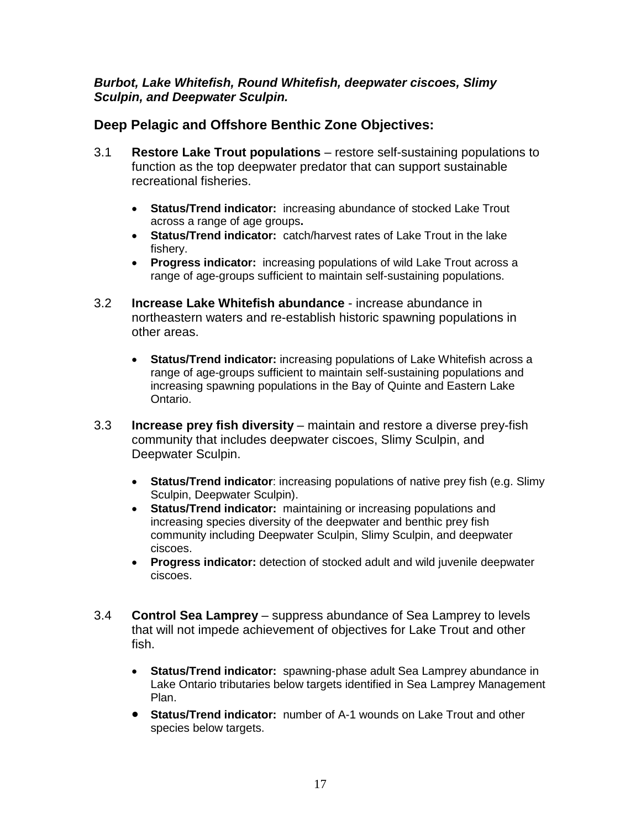### *Burbot, Lake Whitefish, Round Whitefish, deepwater ciscoes, Slimy Sculpin, and Deepwater Sculpin.*

## <span id="page-16-0"></span>**Deep Pelagic and Offshore Benthic Zone Objectives:**

- 3.1 **Restore Lake Trout populations**  restore self-sustaining populations to function as the top deepwater predator that can support sustainable recreational fisheries.
	- **Status/Trend indicator:** increasing abundance of stocked Lake Trout across a range of age groups**.**
	- **Status/Trend indicator:** catch/harvest rates of Lake Trout in the lake fishery.
	- **Progress indicator:** increasing populations of wild Lake Trout across a range of age-groups sufficient to maintain self-sustaining populations.
- 3.2 **Increase Lake Whitefish abundance**  increase abundance in northeastern waters and re-establish historic spawning populations in other areas.
	- **Status/Trend indicator:** increasing populations of Lake Whitefish across a range of age-groups sufficient to maintain self-sustaining populations and increasing spawning populations in the Bay of Quinte and Eastern Lake Ontario.
- 3.3 **Increase prey fish diversity**  maintain and restore a diverse prey-fish community that includes deepwater ciscoes, Slimy Sculpin, and Deepwater Sculpin.
	- **Status/Trend indicator**: increasing populations of native prey fish (e.g. Slimy Sculpin, Deepwater Sculpin).
	- **Status/Trend indicator:** maintaining or increasing populations and increasing species diversity of the deepwater and benthic prey fish community including Deepwater Sculpin, Slimy Sculpin, and deepwater ciscoes.
	- **Progress indicator:** detection of stocked adult and wild juvenile deepwater ciscoes.
- 3.4 **Control Sea Lamprey**  suppress abundance of Sea Lamprey to levels that will not impede achievement of objectives for Lake Trout and other fish.
	- **Status/Trend indicator:** spawning-phase adult Sea Lamprey abundance in Lake Ontario tributaries below targets identified in Sea Lamprey Management Plan.
	- **Status/Trend indicator:** number of A-1 wounds on Lake Trout and other species below targets.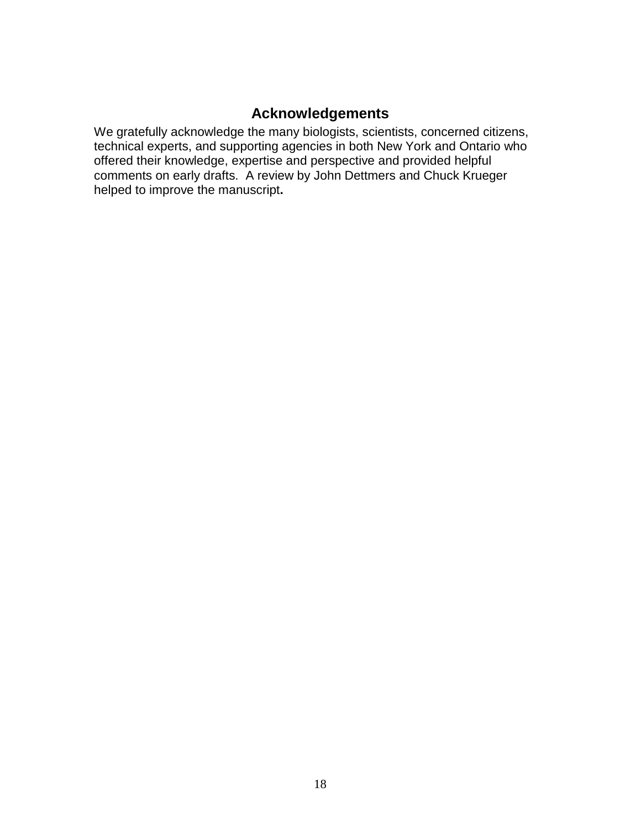## **Acknowledgements**

<span id="page-17-0"></span>We gratefully acknowledge the many biologists, scientists, concerned citizens, technical experts, and supporting agencies in both New York and Ontario who offered their knowledge, expertise and perspective and provided helpful comments on early drafts. A review by John Dettmers and Chuck Krueger helped to improve the manuscript**.**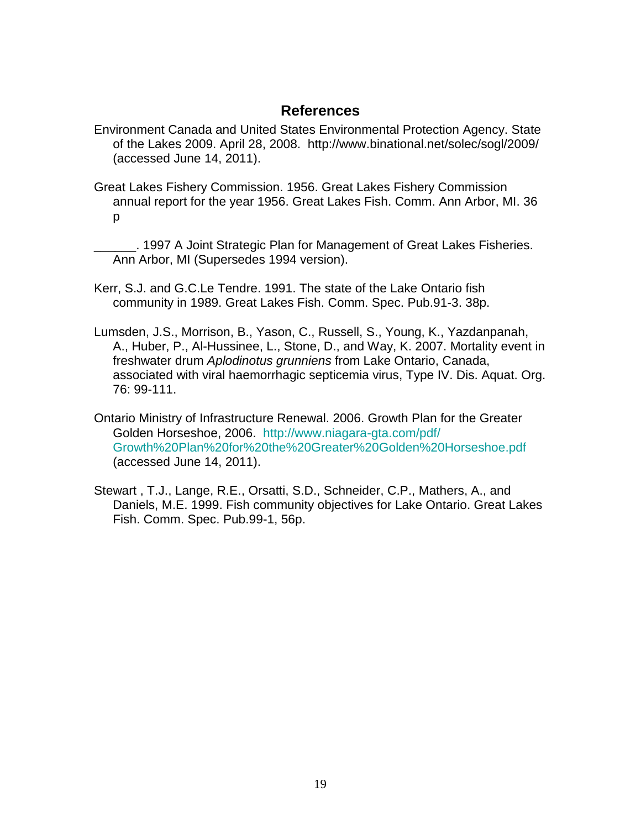### **References**

- <span id="page-18-0"></span>Environment Canada and United States Environmental Protection Agency. State of the Lakes 2009. April 28, 2008. http://www.binational.net/solec/sogl/2009/ (accessed June 14, 2011).
- Great Lakes Fishery Commission. 1956. Great Lakes Fishery Commission annual report for the year 1956. Great Lakes Fish. Comm. Ann Arbor, MI. 36 p

\_\_\_\_\_\_. 1997 A Joint Strategic Plan for Management of Great Lakes Fisheries. Ann Arbor, MI (Supersedes 1994 version).

Kerr, S.J. and G.C.Le Tendre. 1991. The state of the Lake Ontario fish community in 1989. Great Lakes Fish. Comm. Spec. Pub.91-3. 38p.

- Lumsden, J.S., Morrison, B., Yason, C., Russell, S., Young, K., Yazdanpanah, A., Huber, P., Al-Hussinee, L., Stone, D., and Way, K. 2007. Mortality event in freshwater drum *Aplodinotus grunniens* from Lake Ontario, Canada, associated with viral haemorrhagic septicemia virus, Type IV. Dis. Aquat. Org. 76: 99-111.
- Ontario Ministry of Infrastructure Renewal. 2006. Growth Plan for the Greater Golden Horseshoe, 2006. [http://www.niagara-gta.com/pdf/](http://www.niagara-gta.com/pdf/%20Growth%20Plan%20for%20the%20Greater%20Golden%20Horseshoe.pdf)  [Growth%20Plan%20for%20the%20Greater%20Golden%20Horseshoe.pdf](http://www.niagara-gta.com/pdf/%20Growth%20Plan%20for%20the%20Greater%20Golden%20Horseshoe.pdf) (accessed June 14, 2011).
- Stewart , T.J., Lange, R.E., Orsatti, S.D., Schneider, C.P., Mathers, A., and Daniels, M.E. 1999. Fish community objectives for Lake Ontario. Great Lakes Fish. Comm. Spec. Pub.99-1, 56p.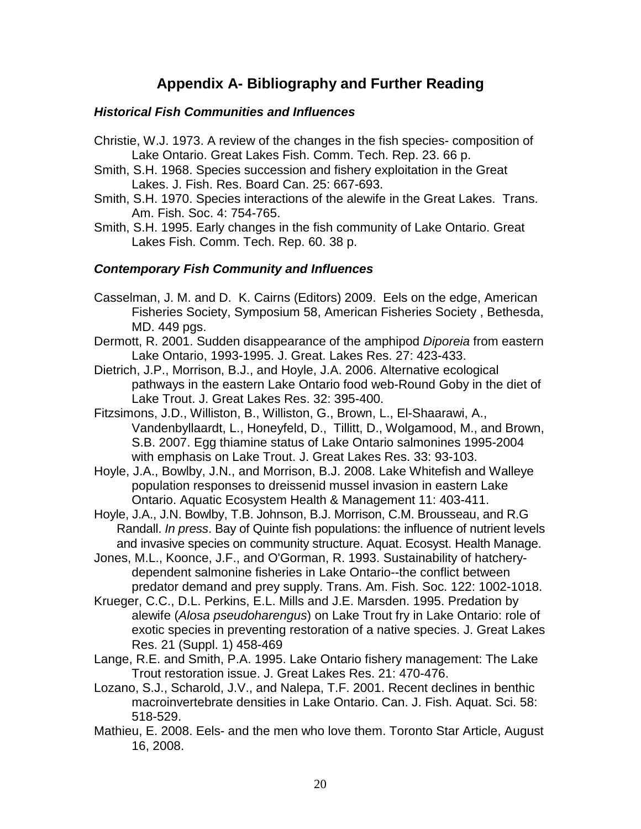## **Appendix A- Bibliography and Further Reading**

### <span id="page-19-1"></span><span id="page-19-0"></span>*Historical Fish Communities and Influences*

- Christie, W.J. 1973. A review of the changes in the fish species- composition of Lake Ontario. Great Lakes Fish. Comm. Tech. Rep. 23. 66 p.
- Smith, S.H. 1968. Species succession and fishery exploitation in the Great Lakes. J. Fish. Res. Board Can. 25: 667-693.
- Smith, S.H. 1970. Species interactions of the alewife in the Great Lakes. Trans. Am. Fish. Soc. 4: 754-765.
- Smith, S.H. 1995. Early changes in the fish community of Lake Ontario. Great Lakes Fish. Comm. Tech. Rep. 60. 38 p.

### <span id="page-19-2"></span>*Contemporary Fish Community and Influences*

- Casselman, J. M. and D. K. Cairns (Editors) 2009. Eels on the edge, American Fisheries Society, Symposium 58, American Fisheries Society , Bethesda, MD. 449 pgs.
- Dermott, R. 2001. Sudden disappearance of the amphipod *Diporeia* from eastern Lake Ontario, 1993-1995. J. Great. Lakes Res. 27: 423-433.
- Dietrich, J.P., Morrison, B.J., and Hoyle, J.A. 2006. Alternative ecological pathways in the eastern Lake Ontario food web-Round Goby in the diet of Lake Trout. J. Great Lakes Res. 32: 395-400.
- Fitzsimons, J.D., Williston, B., Williston, G., Brown, L., El-Shaarawi, A., Vandenbyllaardt, L., Honeyfeld, D., Tillitt, D., Wolgamood, M., and Brown, S.B. 2007. Egg thiamine status of Lake Ontario salmonines 1995-2004 with emphasis on Lake Trout. J. Great Lakes Res. 33: 93-103.
- Hoyle, J.A., Bowlby, J.N., and Morrison, B.J. 2008. Lake Whitefish and Walleye population responses to dreissenid mussel invasion in eastern Lake Ontario. Aquatic Ecosystem Health & Management 11: 403-411.
- Hoyle, J.A., J.N. Bowlby, T.B. Johnson, B.J. Morrison, C.M. Brousseau, and R.G Randall. *In press*. Bay of Quinte fish populations: the influence of nutrient levels and invasive species on community structure. Aquat. Ecosyst. Health Manage.
- Jones, M.L., Koonce, J.F., and O'Gorman, R. 1993. Sustainability of hatcherydependent salmonine fisheries in Lake Ontario--the conflict between predator demand and prey supply. Trans. Am. Fish. Soc. 122: 1002-1018.
- Krueger, C.C., D.L. Perkins, E.L. Mills and J.E. Marsden. 1995. Predation by alewife (*Alosa pseudoharengus*) on Lake Trout fry in Lake Ontario: role of exotic species in preventing restoration of a native species. J. Great Lakes Res. 21 (Suppl. 1) 458-469
- Lange, R.E. and Smith, P.A. 1995. Lake Ontario fishery management: The Lake Trout restoration issue. J. Great Lakes Res. 21: 470-476.
- Lozano, S.J., Scharold, J.V., and Nalepa, T.F. 2001. Recent declines in benthic macroinvertebrate densities in Lake Ontario. Can. J. Fish. Aquat. Sci. 58: 518-529.
- Mathieu, E. 2008. Eels- and the men who love them. Toronto Star Article, August 16, 2008.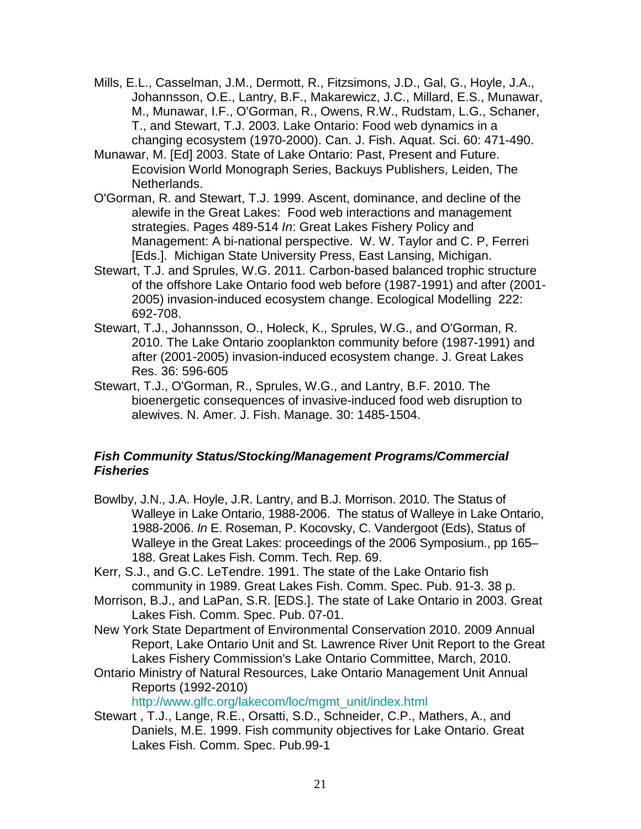- Mills, E.L., Casselman, J.M., Dermott, R., Fitzsimons, J.D., Gal, G., Hoyle, J.A., Johannsson, O.E., Lantry, B.F., Makarewicz, J.C., Millard, E.S., Munawar, M., Munawar, I.F., O'Gorman, R., Owens, R.W., Rudstam, L.G., Schaner, T., and Stewart, T.J. 2003. Lake Ontario: Food web dynamics in a changing ecosystem (1970-2000). Can. J. Fish. Aquat. Sci. 60: 471-490.
- Munawar, M. [Ed] 2003. State of Lake Ontario: Past, Present and Future. Ecovision World Monograph Series, Backuys Publishers, Leiden, The Netherlands.
- O'Gorman, R. and Stewart, T.J. 1999. Ascent, dominance, and decline of the alewife in the Great Lakes: Food web interactions and management strategies. Pages 489-514 *In*: Great Lakes Fishery Policy and Management: A bi-national perspective. W. W. Taylor and C. P, Ferreri [Eds.]. Michigan State University Press, East Lansing, Michigan.
- Stewart, T.J. and Sprules, W.G. 2011. Carbon-based balanced trophic structure of the offshore Lake Ontario food web before (1987-1991) and after (2001- 2005) invasion-induced ecosystem change. Ecological Modelling 222: 692-708.
- Stewart, T.J., Johannsson, O., Holeck, K., Sprules, W.G., and O'Gorman, R. 2010. The Lake Ontario zooplankton community before (1987-1991) and after (2001-2005) invasion-induced ecosystem change. J. Great Lakes Res. 36: 596-605
- Stewart, T.J., O'Gorman, R., Sprules, W.G., and Lantry, B.F. 2010. The bioenergetic consequences of invasive-induced food web disruption to alewives. N. Amer. J. Fish. Manage. 30: 1485-1504.

### <span id="page-20-0"></span>*Fish Community Status/Stocking/Management Programs/Commercial Fisheries*

- Bowlby, J.N., J.A. Hoyle, J.R. Lantry, and B.J. Morrison. 2010. The Status of Walleye in Lake Ontario, 1988-2006. The status of Walleye in Lake Ontario, 1988-2006. *In* E. Roseman, P. Kocovsky, C. Vandergoot (Eds), Status of Walleye in the Great Lakes: proceedings of the 2006 Symposium., pp 165– 188. Great Lakes Fish. Comm. Tech. Rep. 69.
- Kerr, S.J., and G.C. LeTendre. 1991. The state of the Lake Ontario fish community in 1989. Great Lakes Fish. Comm. Spec. Pub. 91-3. 38 p.
- Morrison, B.J., and LaPan, S.R. [EDS.]. The state of Lake Ontario in 2003. Great Lakes Fish. Comm. Spec. Pub. 07-01.
- New York State Department of Environmental Conservation 2010. 2009 Annual Report, Lake Ontario Unit and St. Lawrence River Unit Report to the Great Lakes Fishery Commission's Lake Ontario Committee, March, 2010.
- Ontario Ministry of Natural Resources, Lake Ontario Management Unit Annual Reports (1992-2010)

[http://www.glfc.org/lakecom/loc/mgmt\\_unit/index.html](http://www.glfc.org/lakecom/loc/mgmt_unit/index.html)

Stewart , T.J., Lange, R.E., Orsatti, S.D., Schneider, C.P., Mathers, A., and Daniels, M.E. 1999. Fish community objectives for Lake Ontario. Great Lakes Fish. Comm. Spec. Pub.99-1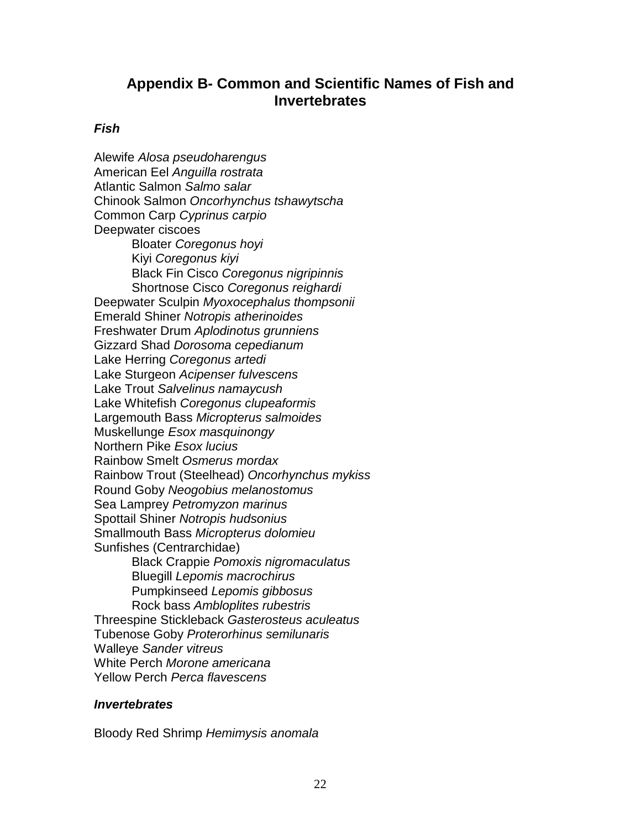## <span id="page-21-0"></span>**Appendix B- Common and Scientific Names of Fish and Invertebrates**

### <span id="page-21-1"></span>*Fish*

Alewife *Alosa pseudoharengus* American Eel *Anguilla rostrata* Atlantic Salmon *Salmo salar* Chinook Salmon *Oncorhynchus tshawytscha* Common Carp *Cyprinus carpio* Deepwater ciscoes Bloater *Coregonus hoyi* Kiyi *Coregonus kiyi* Black Fin Cisco *Coregonus nigripinnis* Shortnose Cisco *Coregonus reighardi* Deepwater Sculpin *Myoxocephalus thompsonii* Emerald Shiner *Notropis atherinoides* Freshwater Drum *Aplodinotus grunniens* Gizzard Shad *Dorosoma cepedianum* Lake Herring *Coregonus artedi* Lake Sturgeon *Acipenser fulvescens* Lake Trout *Salvelinus namaycush* Lake Whitefish *Coregonus clupeaformis* Largemouth Bass *Micropterus salmoides* Muskellunge *Esox masquinongy* Northern Pike *Esox lucius* Rainbow Smelt *Osmerus mordax* Rainbow Trout (Steelhead) *Oncorhynchus mykiss* Round Goby *Neogobius melanostomus* Sea Lamprey *Petromyzon marinus* Spottail Shiner *Notropis hudsonius* Smallmouth Bass *Micropterus dolomieu* Sunfishes (Centrarchidae) Black Crappie *Pomoxis nigromaculatus* Bluegill *Lepomis macrochirus* Pumpkinseed *Lepomis gibbosus* Rock bass *Ambloplites rubestris* Threespine Stickleback *Gasterosteus aculeatus* Tubenose Goby *Proterorhinus semilunaris* Walleye *Sander vitreus* White Perch *Morone americana* Yellow Perch *Perca flavescens*

#### <span id="page-21-2"></span>*Invertebrates*

Bloody Red Shrimp *Hemimysis anomala*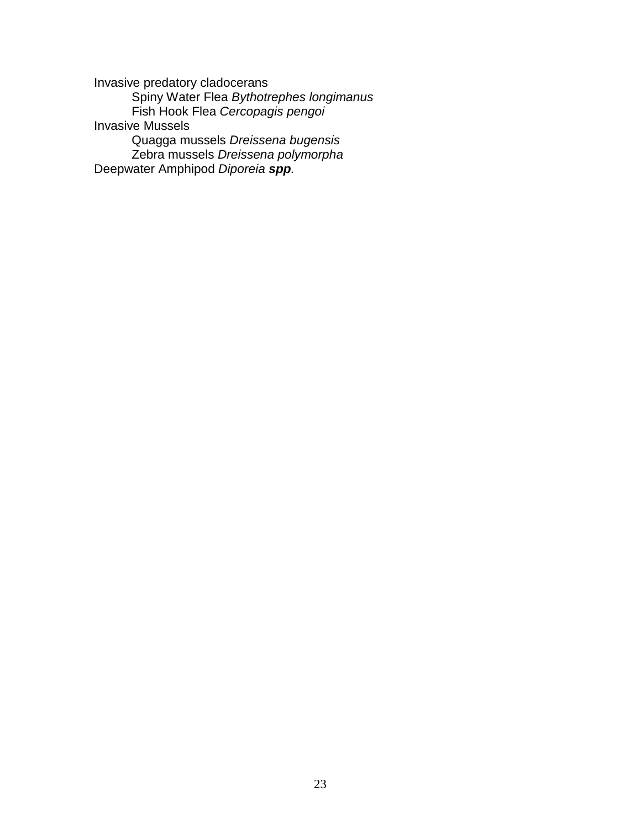Invasive predatory cladocerans Spiny Water Flea *Bythotrephes longimanus* Fish Hook Flea *Cercopagis pengoi* Invasive Mussels Quagga mussels *Dreissena bugensis* Zebra mussels *Dreissena polymorpha* Deepwater Amphipod *Diporeia spp.*